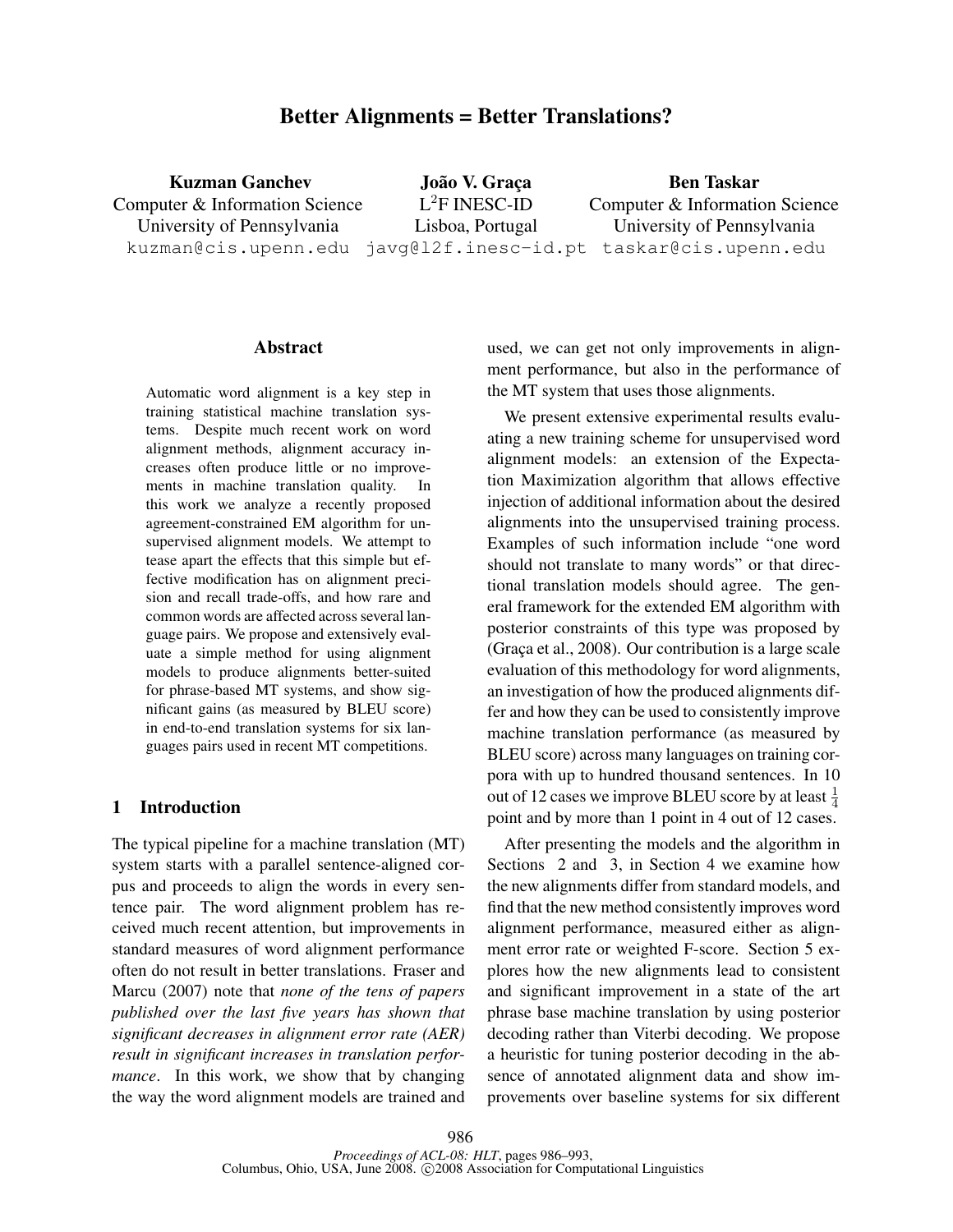# Better Alignments = Better Translations?

Kuzman Ganchev Computer & Information Science University of Pennsylvania kuzman@cis.upenn.edu javg@l2f.inesc-id.pt taskar@cis.upenn.edu João V. Graça L <sup>2</sup>F INESC-ID Lisboa, Portugal Ben Taskar Computer & Information Science University of Pennsylvania

### Abstract

Automatic word alignment is a key step in training statistical machine translation systems. Despite much recent work on word alignment methods, alignment accuracy increases often produce little or no improvements in machine translation quality. In this work we analyze a recently proposed agreement-constrained EM algorithm for unsupervised alignment models. We attempt to tease apart the effects that this simple but effective modification has on alignment precision and recall trade-offs, and how rare and common words are affected across several language pairs. We propose and extensively evaluate a simple method for using alignment models to produce alignments better-suited for phrase-based MT systems, and show significant gains (as measured by BLEU score) in end-to-end translation systems for six languages pairs used in recent MT competitions.

# 1 Introduction

The typical pipeline for a machine translation (MT) system starts with a parallel sentence-aligned corpus and proceeds to align the words in every sentence pair. The word alignment problem has received much recent attention, but improvements in standard measures of word alignment performance often do not result in better translations. Fraser and Marcu (2007) note that *none of the tens of papers published over the last five years has shown that significant decreases in alignment error rate (AER) result in significant increases in translation performance*. In this work, we show that by changing the way the word alignment models are trained and used, we can get not only improvements in alignment performance, but also in the performance of the MT system that uses those alignments.

We present extensive experimental results evaluating a new training scheme for unsupervised word alignment models: an extension of the Expectation Maximization algorithm that allows effective injection of additional information about the desired alignments into the unsupervised training process. Examples of such information include "one word should not translate to many words" or that directional translation models should agree. The general framework for the extended EM algorithm with posterior constraints of this type was proposed by  $(Graca et al., 2008)$ . Our contribution is a large scale evaluation of this methodology for word alignments, an investigation of how the produced alignments differ and how they can be used to consistently improve machine translation performance (as measured by BLEU score) across many languages on training corpora with up to hundred thousand sentences. In 10 out of 12 cases we improve BLEU score by at least  $\frac{1}{4}$ point and by more than 1 point in 4 out of 12 cases.

After presenting the models and the algorithm in Sections 2 and 3, in Section 4 we examine how the new alignments differ from standard models, and find that the new method consistently improves word alignment performance, measured either as alignment error rate or weighted F-score. Section 5 explores how the new alignments lead to consistent and significant improvement in a state of the art phrase base machine translation by using posterior decoding rather than Viterbi decoding. We propose a heuristic for tuning posterior decoding in the absence of annotated alignment data and show improvements over baseline systems for six different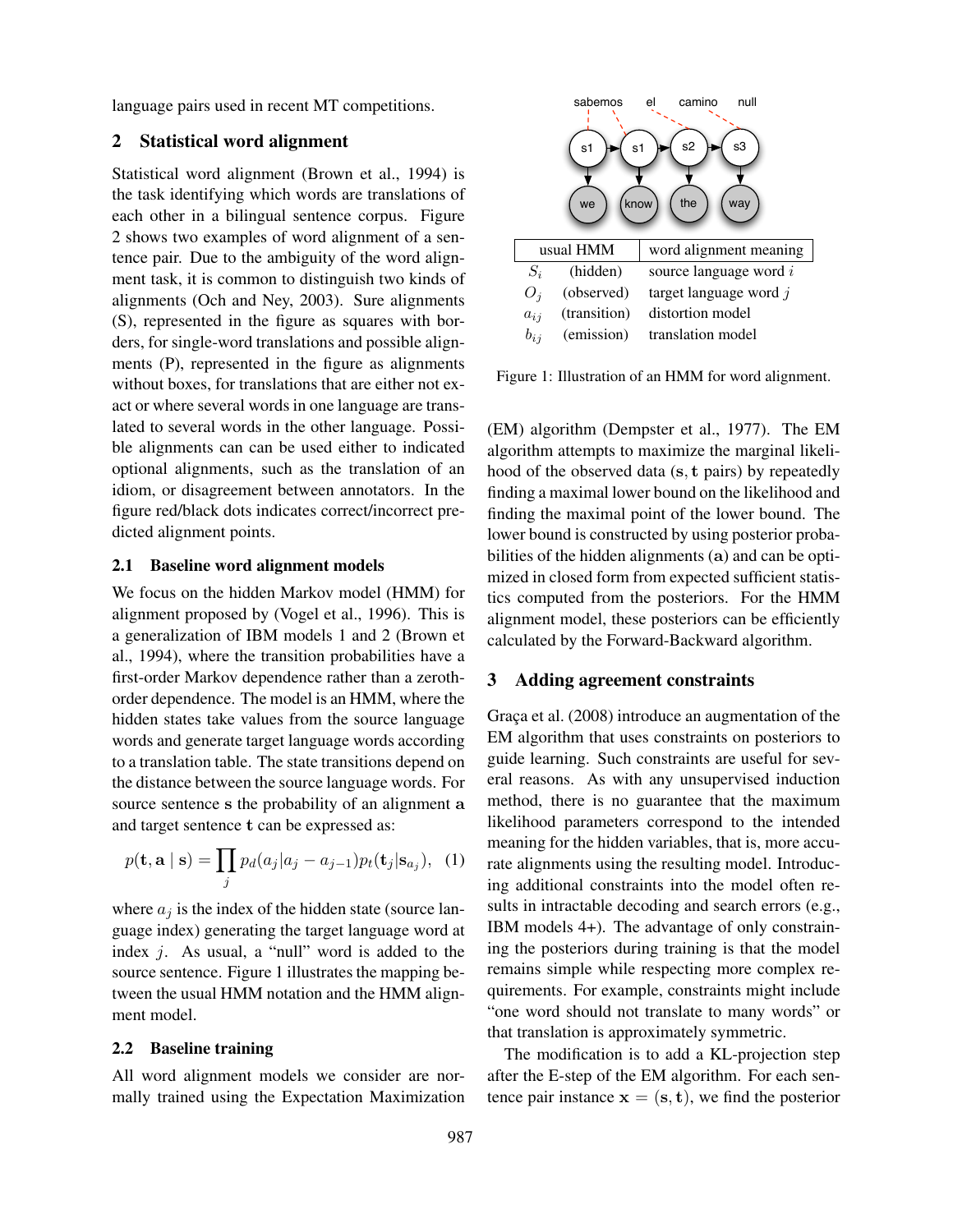language pairs used in recent MT competitions.

# 2 Statistical word alignment

Statistical word alignment (Brown et al., 1994) is the task identifying which words are translations of each other in a bilingual sentence corpus. Figure 2 shows two examples of word alignment of a sentence pair. Due to the ambiguity of the word alignment task, it is common to distinguish two kinds of alignments (Och and Ney, 2003). Sure alignments (S), represented in the figure as squares with borders, for single-word translations and possible alignments (P), represented in the figure as alignments without boxes, for translations that are either not exact or where several words in one language are translated to several words in the other language. Possible alignments can can be used either to indicated optional alignments, such as the translation of an idiom, or disagreement between annotators. In the figure red/black dots indicates correct/incorrect predicted alignment points.

### 2.1 Baseline word alignment models

We focus on the hidden Markov model (HMM) for alignment proposed by (Vogel et al., 1996). This is a generalization of IBM models 1 and 2 (Brown et al., 1994), where the transition probabilities have a first-order Markov dependence rather than a zerothorder dependence. The model is an HMM, where the hidden states take values from the source language words and generate target language words according to a translation table. The state transitions depend on the distance between the source language words. For source sentence s the probability of an alignment a and target sentence t can be expressed as:

$$
p(\mathbf{t}, \mathbf{a} \mid \mathbf{s}) = \prod_{j} p_d(a_j | a_j - a_{j-1}) p_t(\mathbf{t}_j | \mathbf{s}_{a_j}), \tag{1}
$$

where  $a_i$  is the index of the hidden state (source language index) generating the target language word at index  $j$ . As usual, a "null" word is added to the source sentence. Figure 1 illustrates the mapping between the usual HMM notation and the HMM alignment model.

### 2.2 Baseline training

All word alignment models we consider are normally trained using the Expectation Maximization



Figure 1: Illustration of an HMM for word alignment.

(EM) algorithm (Dempster et al., 1977). The EM algorithm attempts to maximize the marginal likelihood of the observed data (s, t pairs) by repeatedly finding a maximal lower bound on the likelihood and finding the maximal point of the lower bound. The lower bound is constructed by using posterior probabilities of the hidden alignments (a) and can be optimized in closed form from expected sufficient statistics computed from the posteriors. For the HMM alignment model, these posteriors can be efficiently calculated by the Forward-Backward algorithm.

### 3 Adding agreement constraints

Graça et al. (2008) introduce an augmentation of the EM algorithm that uses constraints on posteriors to guide learning. Such constraints are useful for several reasons. As with any unsupervised induction method, there is no guarantee that the maximum likelihood parameters correspond to the intended meaning for the hidden variables, that is, more accurate alignments using the resulting model. Introducing additional constraints into the model often results in intractable decoding and search errors (e.g., IBM models 4+). The advantage of only constraining the posteriors during training is that the model remains simple while respecting more complex requirements. For example, constraints might include "one word should not translate to many words" or that translation is approximately symmetric.

The modification is to add a KL-projection step after the E-step of the EM algorithm. For each sentence pair instance  $x = (s, t)$ , we find the posterior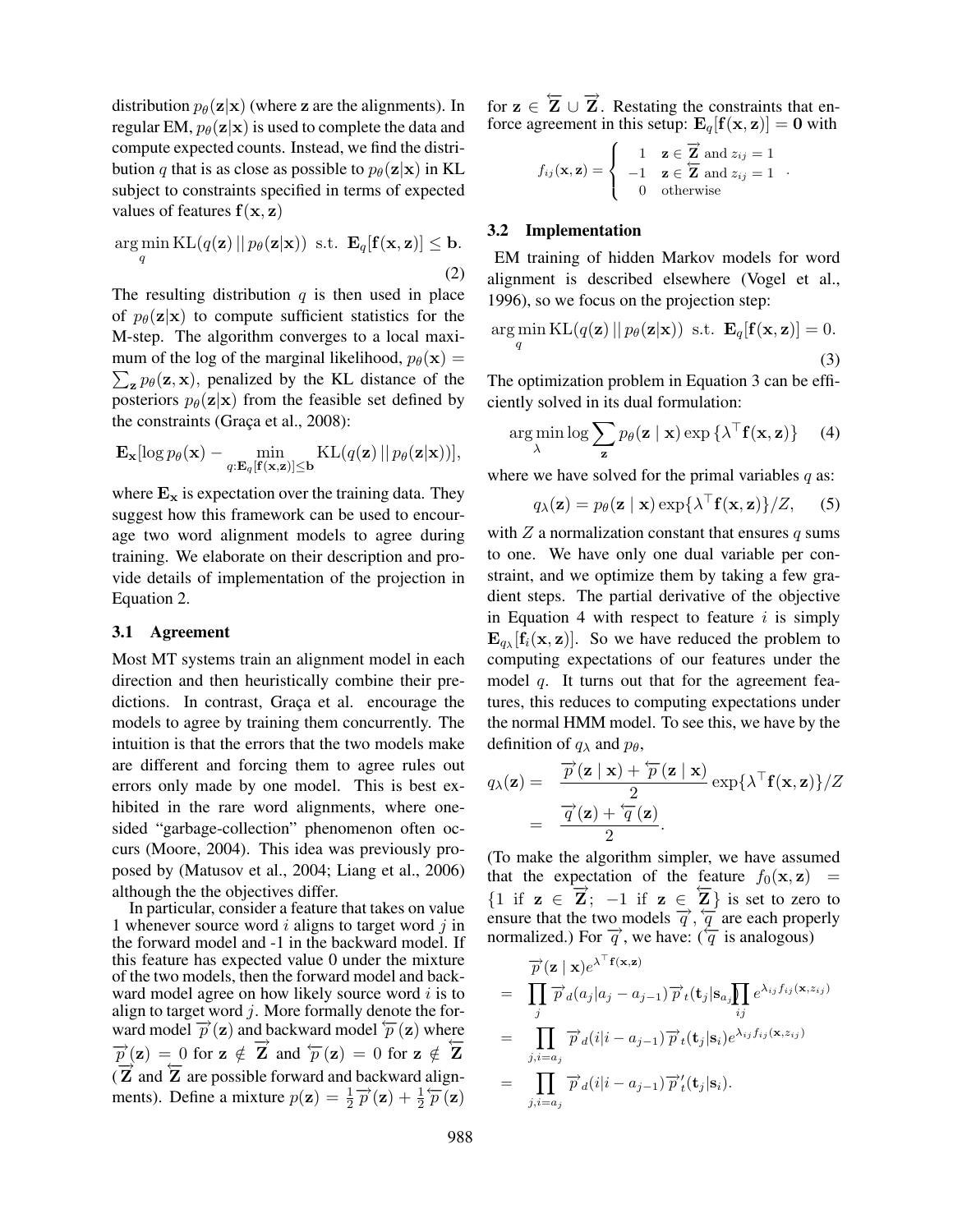distribution  $p_{\theta}(\mathbf{z}|\mathbf{x})$  (where z are the alignments). In regular EM,  $p_{\theta}(\mathbf{z}|\mathbf{x})$  is used to complete the data and compute expected counts. Instead, we find the distribution q that is as close as possible to  $p_{\theta}(\mathbf{z}|\mathbf{x})$  in KL subject to constraints specified in terms of expected values of features  $f(x, z)$ 

$$
\underset{q}{\arg\min} \, \text{KL}(q(\mathbf{z}) \, || \, p_{\theta}(\mathbf{z}|\mathbf{x})) \, \text{ s.t. } \, \mathbf{E}_{q}[\mathbf{f}(\mathbf{x}, \mathbf{z})] \leq \mathbf{b}. \tag{2}
$$

The resulting distribution  $q$  is then used in place of  $p_{\theta}(\mathbf{z}|\mathbf{x})$  to compute sufficient statistics for the M-step. The algorithm converges to a local maxi- $\sum_{\mathbf{z}} p_{\theta}(\mathbf{z}, \mathbf{x})$ , penalized by the KL distance of the mum of the log of the marginal likelihood,  $p_{\theta}(\mathbf{x}) =$ posteriors  $p_{\theta}(\mathbf{z}|\mathbf{x})$  from the feasible set defined by the constraints (Graça et al.,  $2008$ ):

$$
\mathbf{E}_{\mathbf{x}}[\log p_{\theta}(\mathbf{x}) - \min_{q: \mathbf{E}_{q}[\mathbf{f}(\mathbf{x}, \mathbf{z})] \leq \mathbf{b}} \mathrm{KL}(q(\mathbf{z}) || p_{\theta}(\mathbf{z}|\mathbf{x}))],
$$

where  $E_x$  is expectation over the training data. They suggest how this framework can be used to encourage two word alignment models to agree during training. We elaborate on their description and provide details of implementation of the projection in Equation 2.

### 3.1 Agreement

Most MT systems train an alignment model in each direction and then heuristically combine their predictions. In contrast, Graça et al. encourage the models to agree by training them concurrently. The intuition is that the errors that the two models make are different and forcing them to agree rules out errors only made by one model. This is best exhibited in the rare word alignments, where onesided "garbage-collection" phenomenon often occurs (Moore, 2004). This idea was previously proposed by (Matusov et al., 2004; Liang et al., 2006) although the the objectives differ.

In particular, consider a feature that takes on value 1 whenever source word  $i$  aligns to target word  $j$  in the forward model and -1 in the backward model. If this feature has expected value 0 under the mixture of the two models, then the forward model and backward model agree on how likely source word  $i$  is to align to target word  $j$ . More formally denote the forward model  $\vec{p}$  (z) and backward model  $\vec{p}$  (z) where  $\vec{p}$ (z) = 0 for z  $\notin \vec{Z}$  and  $\vec{p}$ (z) = 0 for z  $\notin \vec{Z}$  $\frac{P(z)}{Z}$  and  $\overline{Z}$  are possible forward and backward alignments). Define a mixture  $p(z) = \frac{1}{2} \overrightarrow{p}(z) + \frac{1}{2} \overleftarrow{p}(z)$ 

for  $z \in \overleftarrow{Z} \cup \overrightarrow{Z}$ . Restating the constraints that enforce agreement in this setup:  $E_q[f(x, z)] = 0$  with

$$
f_{ij}(\mathbf{x}, \mathbf{z}) = \begin{cases} 1 & \mathbf{z} \in \mathbf{Z} \text{ and } z_{ij} = 1 \\ -1 & \mathbf{z} \in \mathbf{Z} \text{ and } z_{ij} = 1 \\ 0 & \text{otherwise} \end{cases}.
$$

# 3.2 Implementation

EM training of hidden Markov models for word alignment is described elsewhere (Vogel et al., 1996), so we focus on the projection step:

$$
\underset{q}{\arg\min} \, \text{KL}(q(\mathbf{z}) \, || \, p_{\theta}(\mathbf{z}|\mathbf{x})) \, \text{ s.t. } \, \mathbf{E}_{q}[\mathbf{f}(\mathbf{x}, \mathbf{z})] = 0. \tag{3}
$$

The optimization problem in Equation 3 can be efficiently solved in its dual formulation:

$$
\arg\min_{\lambda}\log\sum_{\mathbf{z}}p_{\theta}(\mathbf{z} \mid \mathbf{x})\exp\{\lambda^{\top}\mathbf{f}(\mathbf{x}, \mathbf{z})\}\qquad(4)
$$

where we have solved for the primal variables  $q$  as:

$$
q_{\lambda}(\mathbf{z}) = p_{\theta}(\mathbf{z} \mid \mathbf{x}) \exp\{\lambda^{\top} \mathbf{f}(\mathbf{x}, \mathbf{z})\}/Z, \quad (5)
$$

with  $Z$  a normalization constant that ensures  $q$  sums to one. We have only one dual variable per constraint, and we optimize them by taking a few gradient steps. The partial derivative of the objective in Equation 4 with respect to feature  $i$  is simply  $\mathbf{E}_{q_{\lambda}}[\mathbf{f}_i(\mathbf{x}, \mathbf{z})]$ . So we have reduced the problem to computing expectations of our features under the model  $q$ . It turns out that for the agreement features, this reduces to computing expectations under the normal HMM model. To see this, we have by the definition of  $q_{\lambda}$  and  $p_{\theta}$ ,

$$
q_{\lambda}(\mathbf{z}) = \frac{\overrightarrow{p}(\mathbf{z} \mid \mathbf{x}) + \overleftarrow{p}(\mathbf{z} \mid \mathbf{x})}{2} \exp{\lambda^{\top} \mathbf{f}(\mathbf{x}, \mathbf{z})}/Z
$$
  
= 
$$
\frac{\overrightarrow{q}(\mathbf{z}) + \overleftarrow{q}(\mathbf{z})}{2}.
$$

(To make the algorithm simpler, we have assumed that the expectation of the feature  $f_0(\mathbf{x}, \mathbf{z})$  = {1 if  $z \in \overrightarrow{Z}$ ; −1 if  $z \in \overleftarrow{Z}$ } is set to zero to ensure that the two models  $\overrightarrow{q}$ ,  $\overleftarrow{q}$  are each properly normalized.) For  $\overrightarrow{q}$ , we have: ( $\overleftarrow{q}$  is analogous)

$$
\overrightarrow{p}(\mathbf{z} \mid \mathbf{x})e^{\lambda^{\top} \mathbf{f}(\mathbf{x}, \mathbf{z})}
$$
\n
$$
= \prod_{j} \overrightarrow{p}_d(a_j | a_j - a_{j-1}) \overrightarrow{p}_t(\mathbf{t}_j | \mathbf{s}_a) \prod_{ij} e^{\lambda_{ij} f_{ij}(\mathbf{x}, z_{ij})}
$$
\n
$$
= \prod_{j, i=a_j} \overrightarrow{p}_d(i | i - a_{j-1}) \overrightarrow{p}_t(\mathbf{t}_j | \mathbf{s}_i) e^{\lambda_{ij} f_{ij}(\mathbf{x}, z_{ij})}
$$
\n
$$
= \prod_{j, i=a_j} \overrightarrow{p}_d(i | i - a_{j-1}) \overrightarrow{p}'_t(\mathbf{t}_j | \mathbf{s}_i).
$$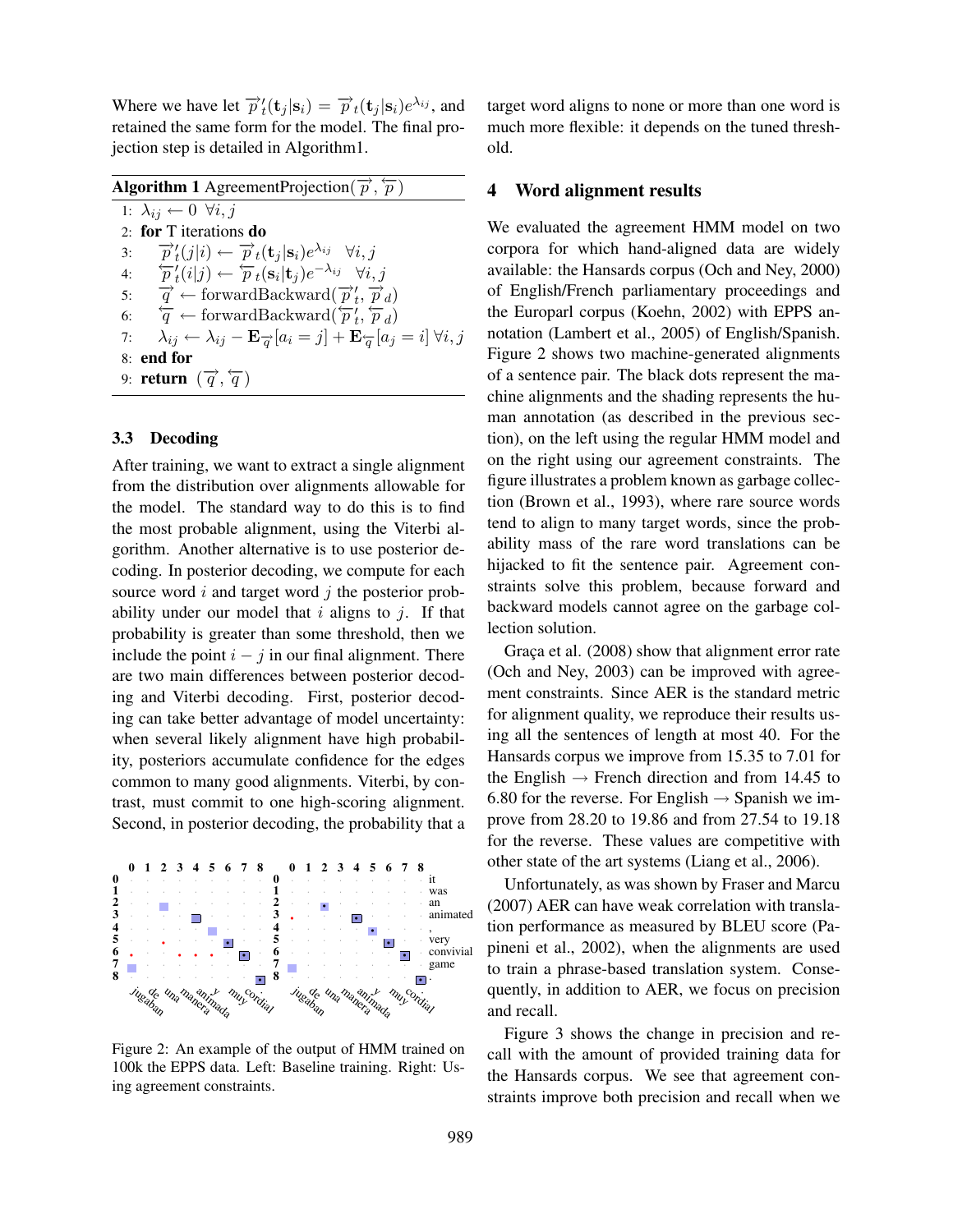Where we have let  $\overrightarrow{p}_t'(\mathbf{t}_j | \mathbf{s}_i) = \overrightarrow{p}_t(\mathbf{t}_j | \mathbf{s}_i) e^{\lambda_{ij}}$ , and retained the same form for the model. The final projection step is detailed in Algorithm1.

| <b>Algorithm 1</b> AgreementProjection( $\overrightarrow{p}$ , $\overleftarrow{p}$ )                                                             |
|--------------------------------------------------------------------------------------------------------------------------------------------------|
| 1: $\lambda_{ij} \leftarrow 0 \ \forall i, j$                                                                                                    |
| 2: for T iterations do                                                                                                                           |
| $\overrightarrow{p}_t(j i) \leftarrow \overrightarrow{p}_t(\mathbf{t}_i \mathbf{s}_i)e^{\lambda_{ij}} \quad \forall i, j$<br>3:                  |
| 4: $\overleftarrow{p}_t(i j) \leftarrow \overleftarrow{p}_t(\mathbf{s}_i \mathbf{t}_j)e^{-\lambda_{ij}}$ $\forall i, j$                          |
| 5: $\vec{q} \leftarrow$ forwardBackward $(\vec{p}'_t, \vec{p}_d)$                                                                                |
| 6: $\overleftarrow{q} \leftarrow$ forwardBackward $(\overleftarrow{p}'_t, \overleftarrow{p}_d)$                                                  |
| $\lambda_{ij} \leftarrow \lambda_{ij} - \mathbf{E}_{\overrightarrow{a}}[a_i = j] + \mathbf{E}_{\overleftarrow{a}}[a_j = i] \ \forall i, j$<br>7: |
| 8: end for                                                                                                                                       |
| 9: <b>return</b> $(\overrightarrow{q}, \overleftarrow{q})$                                                                                       |
|                                                                                                                                                  |

# 3.3 Decoding

After training, we want to extract a single alignment from the distribution over alignments allowable for the model. The standard way to do this is to find the most probable alignment, using the Viterbi algorithm. Another alternative is to use posterior decoding. In posterior decoding, we compute for each source word  $i$  and target word  $j$  the posterior probability under our model that  $i$  aligns to  $j$ . If that probability is greater than some threshold, then we include the point  $i - j$  in our final alignment. There are two main differences between posterior decoding and Viterbi decoding. First, posterior decoding can take better advantage of model uncertainty: when several likely alignment have high probability, posteriors accumulate confidence for the edges common to many good alignments. Viterbi, by contrast, must commit to one high-scoring alignment. Second, in posterior decoding, the probability that a



Figure 2: An example of the output of HMM trained on 100k the EPPS data. Left: Baseline training. Right: Using agreement constraints.

target word aligns to none or more than one word is much more flexible: it depends on the tuned threshold.

# 4 Word alignment results

We evaluated the agreement HMM model on two corpora for which hand-aligned data are widely available: the Hansards corpus (Och and Ney, 2000) of English/French parliamentary proceedings and the Europarl corpus (Koehn, 2002) with EPPS annotation (Lambert et al., 2005) of English/Spanish. Figure 2 shows two machine-generated alignments of a sentence pair. The black dots represent the machine alignments and the shading represents the human annotation (as described in the previous section), on the left using the regular HMM model and on the right using our agreement constraints. The figure illustrates a problem known as garbage collection (Brown et al., 1993), where rare source words tend to align to many target words, since the probability mass of the rare word translations can be hijacked to fit the sentence pair. Agreement constraints solve this problem, because forward and backward models cannot agree on the garbage collection solution.

Graça et al. (2008) show that alignment error rate (Och and Ney, 2003) can be improved with agreement constraints. Since AER is the standard metric for alignment quality, we reproduce their results using all the sentences of length at most 40. For the Hansards corpus we improve from 15.35 to 7.01 for the English  $\rightarrow$  French direction and from 14.45 to 6.80 for the reverse. For English  $\rightarrow$  Spanish we improve from 28.20 to 19.86 and from 27.54 to 19.18 for the reverse. These values are competitive with other state of the art systems (Liang et al., 2006).

Unfortunately, as was shown by Fraser and Marcu (2007) AER can have weak correlation with translation performance as measured by BLEU score (Papineni et al., 2002), when the alignments are used to train a phrase-based translation system. Consequently, in addition to AER, we focus on precision and recall.

Figure 3 shows the change in precision and recall with the amount of provided training data for the Hansards corpus. We see that agreement constraints improve both precision and recall when we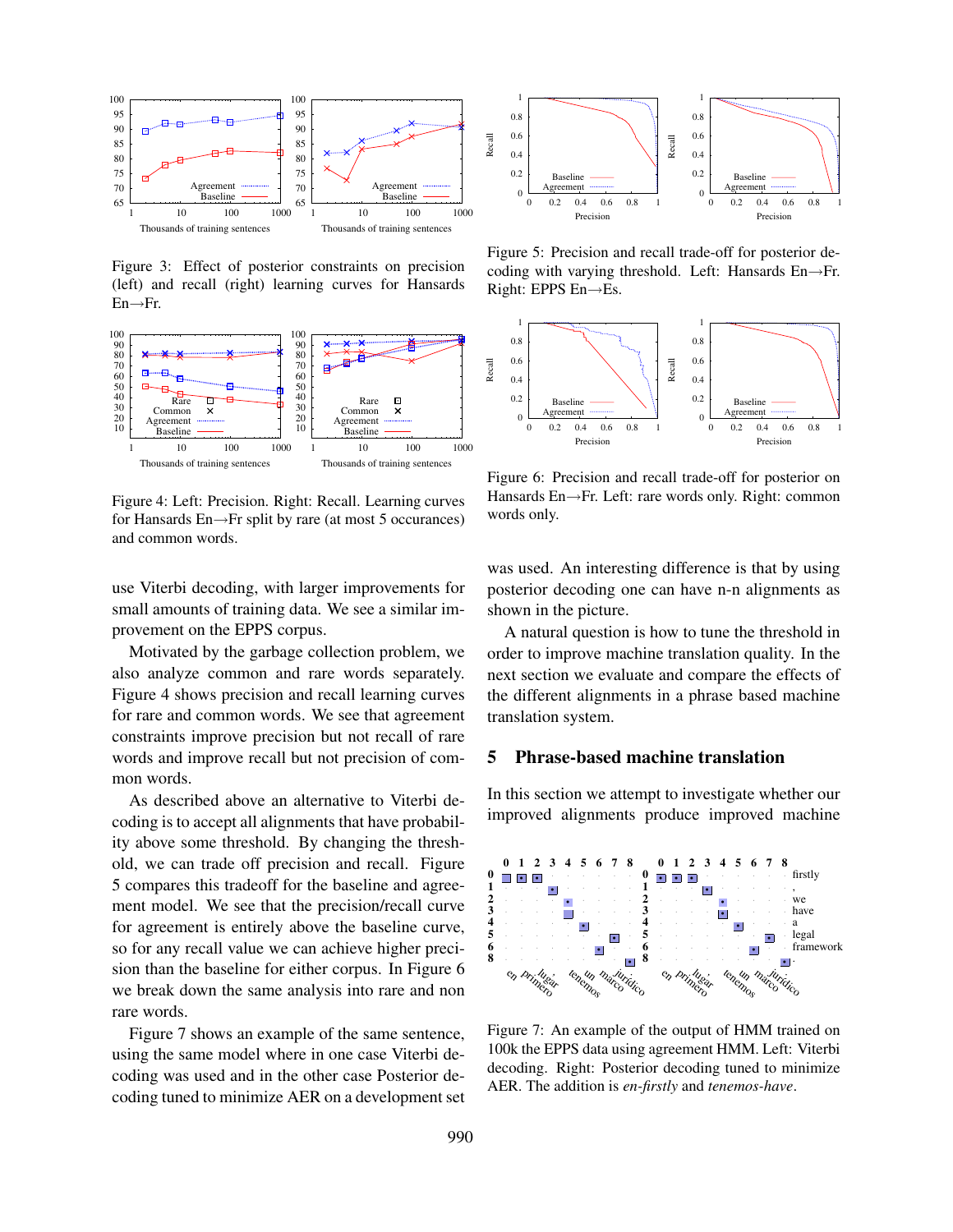

Figure 3: Effect of posterior constraints on precision (left) and recall (right) learning curves for Hansards  $En \rightarrow Fr.$ 



Figure 4: Left: Precision. Right: Recall. Learning curves for Hansards En→Fr split by rare (at most 5 occurances) and common words.

use Viterbi decoding, with larger improvements for small amounts of training data. We see a similar improvement on the EPPS corpus.

Motivated by the garbage collection problem, we also analyze common and rare words separately. Figure 4 shows precision and recall learning curves for rare and common words. We see that agreement constraints improve precision but not recall of rare words and improve recall but not precision of common words.

As described above an alternative to Viterbi decoding is to accept all alignments that have probability above some threshold. By changing the threshold, we can trade off precision and recall. Figure 5 compares this tradeoff for the baseline and agreement model. We see that the precision/recall curve for agreement is entirely above the baseline curve, so for any recall value we can achieve higher precision than the baseline for either corpus. In Figure 6 we break down the same analysis into rare and non rare words.

Figure 7 shows an example of the same sentence, using the same model where in one case Viterbi decoding was used and in the other case Posterior decoding tuned to minimize AER on a development set



Figure 5: Precision and recall trade-off for posterior decoding with varying threshold. Left: Hansards En→Fr. Right: EPPS En→Es.



Figure 6: Precision and recall trade-off for posterior on Hansards En→Fr. Left: rare words only. Right: common words only.

was used. An interesting difference is that by using posterior decoding one can have n-n alignments as shown in the picture.

A natural question is how to tune the threshold in order to improve machine translation quality. In the next section we evaluate and compare the effects of the different alignments in a phrase based machine translation system.

# 5 Phrase-based machine translation

In this section we attempt to investigate whether our improved alignments produce improved machine



Figure 7: An example of the output of HMM trained on 100k the EPPS data using agreement HMM. Left: Viterbi decoding. Right: Posterior decoding tuned to minimize AER. The addition is *en-firstly* and *tenemos-have*.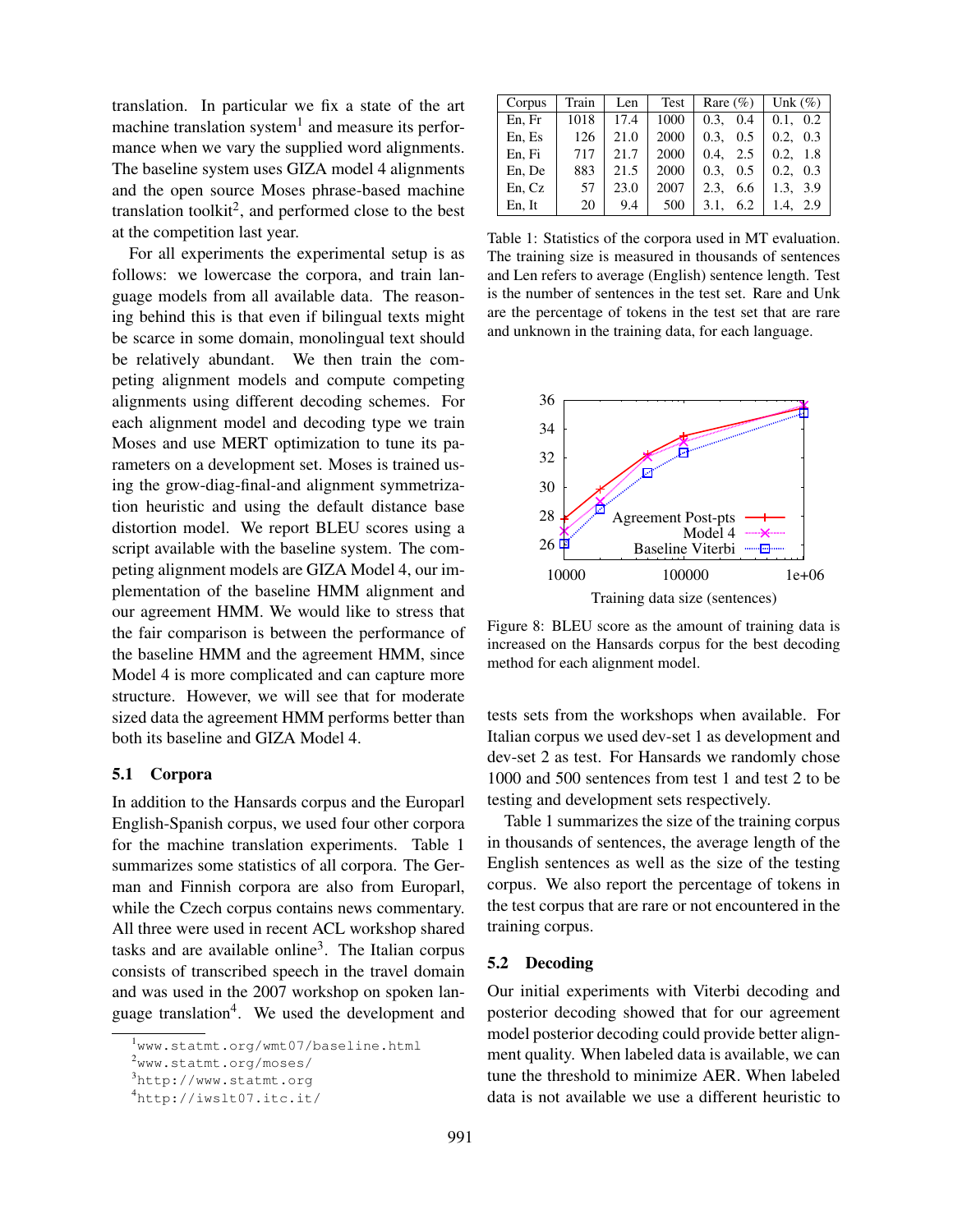translation. In particular we fix a state of the art machine translation system<sup>1</sup> and measure its performance when we vary the supplied word alignments. The baseline system uses GIZA model 4 alignments and the open source Moses phrase-based machine translation toolkit<sup>2</sup>, and performed close to the best at the competition last year.

For all experiments the experimental setup is as follows: we lowercase the corpora, and train language models from all available data. The reasoning behind this is that even if bilingual texts might be scarce in some domain, monolingual text should be relatively abundant. We then train the competing alignment models and compute competing alignments using different decoding schemes. For each alignment model and decoding type we train Moses and use MERT optimization to tune its parameters on a development set. Moses is trained using the grow-diag-final-and alignment symmetrization heuristic and using the default distance base distortion model. We report BLEU scores using a script available with the baseline system. The competing alignment models are GIZA Model 4, our implementation of the baseline HMM alignment and our agreement HMM. We would like to stress that the fair comparison is between the performance of the baseline HMM and the agreement HMM, since Model 4 is more complicated and can capture more structure. However, we will see that for moderate sized data the agreement HMM performs better than both its baseline and GIZA Model 4.

#### 5.1 Corpora

In addition to the Hansards corpus and the Europarl English-Spanish corpus, we used four other corpora for the machine translation experiments. Table 1 summarizes some statistics of all corpora. The German and Finnish corpora are also from Europarl, while the Czech corpus contains news commentary. All three were used in recent ACL workshop shared tasks and are available online<sup>3</sup>. The Italian corpus consists of transcribed speech in the travel domain and was used in the 2007 workshop on spoken language translation<sup>4</sup>. We used the development and

| Corpus | Train | Len  | Test | Rare $(\% )$ | Unk $(\%)$  |
|--------|-------|------|------|--------------|-------------|
| En, Fr | 1018  | 17.4 | 1000 | 0.3.<br>0.4  | 0.1, 0.2    |
| En, Es | 126   | 21.0 | 2000 | 0.3.<br>0.5  | 0.3<br>0.2. |
| En, Fi | 717   | 21.7 | 2000 | 2.5<br>0.4.  | 1.8<br>0.2. |
| En, De | 883   | 21.5 | 2000 | 0.3.<br>0.5  | 0.2.<br>0.3 |
| En, Cz | 57    | 23.0 | 2007 | 6.6<br>2.3.  | 1.3, 3.9    |
| En, It | 20    | 9.4  | 500  | 6.2<br>3.1,  | 1.4, 2.9    |

Table 1: Statistics of the corpora used in MT evaluation. The training size is measured in thousands of sentences and Len refers to average (English) sentence length. Test is the number of sentences in the test set. Rare and Unk are the percentage of tokens in the test set that are rare and unknown in the training data, for each language.



Figure 8: BLEU score as the amount of training data is increased on the Hansards corpus for the best decoding method for each alignment model.

tests sets from the workshops when available. For Italian corpus we used dev-set 1 as development and dev-set 2 as test. For Hansards we randomly chose 1000 and 500 sentences from test 1 and test 2 to be testing and development sets respectively.

Table 1 summarizes the size of the training corpus in thousands of sentences, the average length of the English sentences as well as the size of the testing corpus. We also report the percentage of tokens in the test corpus that are rare or not encountered in the training corpus.

#### 5.2 Decoding

Our initial experiments with Viterbi decoding and posterior decoding showed that for our agreement model posterior decoding could provide better alignment quality. When labeled data is available, we can tune the threshold to minimize AER. When labeled data is not available we use a different heuristic to

<sup>1</sup>www.statmt.org/wmt07/baseline.html

<sup>2</sup>www.statmt.org/moses/

<sup>3</sup>http://www.statmt.org

<sup>4</sup>http://iwslt07.itc.it/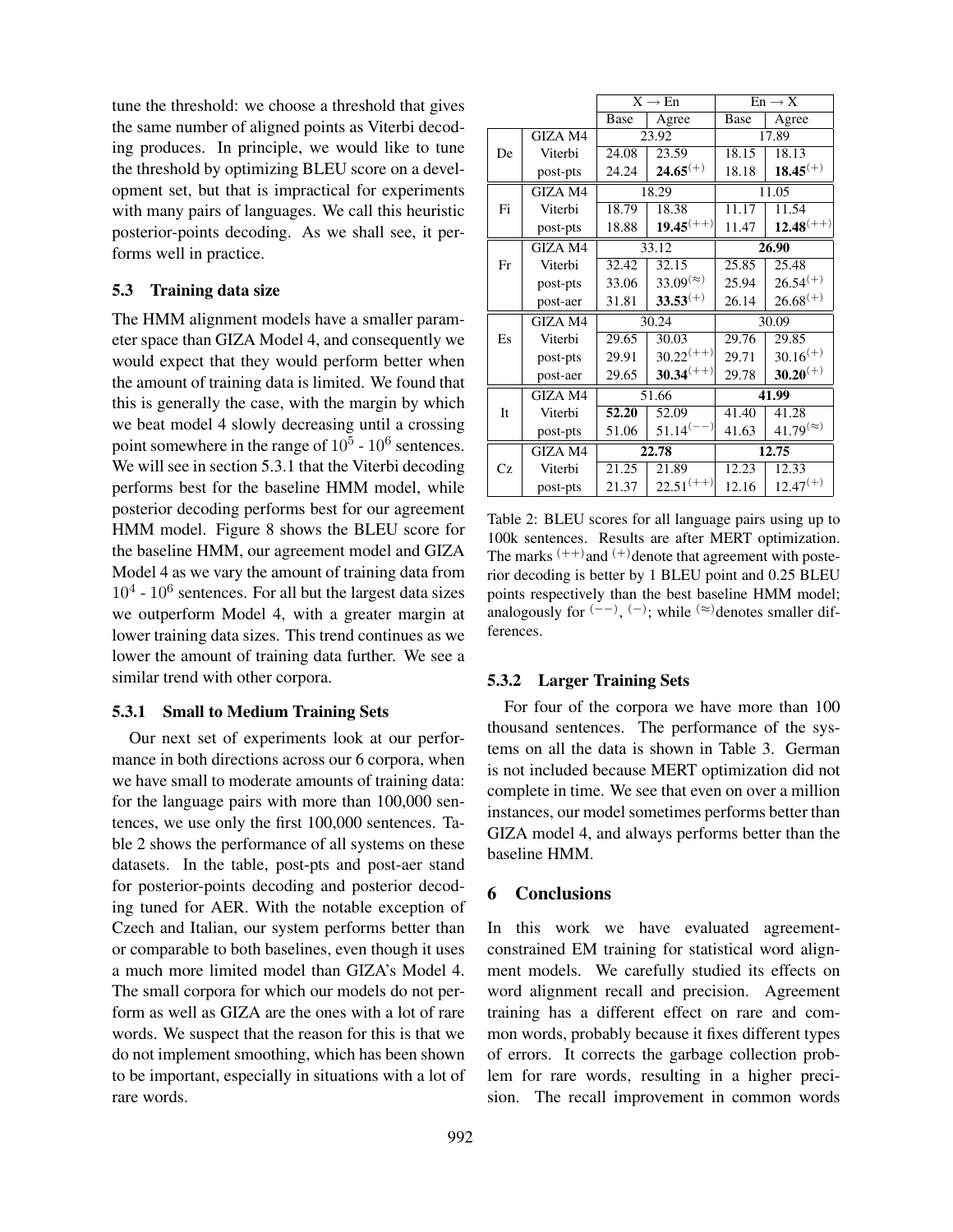tune the threshold: we choose a threshold that gives the same number of aligned points as Viterbi decoding produces. In principle, we would like to tune the threshold by optimizing BLEU score on a development set, but that is impractical for experiments with many pairs of languages. We call this heuristic posterior-points decoding. As we shall see, it performs well in practice.

# 5.3 Training data size

The HMM alignment models have a smaller parameter space than GIZA Model 4, and consequently we would expect that they would perform better when the amount of training data is limited. We found that this is generally the case, with the margin by which we beat model 4 slowly decreasing until a crossing point somewhere in the range of  $10^5$  -  $10^6$  sentences. We will see in section 5.3.1 that the Viterbi decoding performs best for the baseline HMM model, while posterior decoding performs best for our agreement HMM model. Figure 8 shows the BLEU score for the baseline HMM, our agreement model and GIZA Model 4 as we vary the amount of training data from  $10<sup>4</sup>$  -  $10<sup>6</sup>$  sentences. For all but the largest data sizes we outperform Model 4, with a greater margin at lower training data sizes. This trend continues as we lower the amount of training data further. We see a similar trend with other corpora.

### 5.3.1 Small to Medium Training Sets

Our next set of experiments look at our performance in both directions across our 6 corpora, when we have small to moderate amounts of training data: for the language pairs with more than 100,000 sentences, we use only the first 100,000 sentences. Table 2 shows the performance of all systems on these datasets. In the table, post-pts and post-aer stand for posterior-points decoding and posterior decoding tuned for AER. With the notable exception of Czech and Italian, our system performs better than or comparable to both baselines, even though it uses a much more limited model than GIZA's Model 4. The small corpora for which our models do not perform as well as GIZA are the ones with a lot of rare words. We suspect that the reason for this is that we do not implement smoothing, which has been shown to be important, especially in situations with a lot of rare words.

|    |          | $X \rightarrow En$ |                     | $En \rightarrow X$ |                     |
|----|----------|--------------------|---------------------|--------------------|---------------------|
|    |          | Base               | Agree               | Base               | Agree               |
|    | GIZA M4  | 23.92              |                     | 17.89              |                     |
| De | Viterbi  | 24.08              | 23.59               | 18.15              | 18.13               |
|    | post-pts | 24.24              | $24.65^{(+)}$       | 18.18              | $18.45^{(+)}$       |
|    | GIZA M4  | 18.29              |                     | 11.05              |                     |
| Fi | Viterbi  | 18.79              | 18.38               | 11.17              | 11.54               |
|    | post-pts | 18.88              | $19.45^{(++)}$      | 11.47              | $12.48^{(++)}$      |
|    | GIZA M4  | 33.12              |                     | 26.90              |                     |
| Fr | Viterbi  | 32.42              | 32.15               | 25.85              | 25.48               |
|    | post-pts | 33.06              | $33.09^{(\approx)}$ | 25.94              | $26.54^{(+)}$       |
|    | post-aer | 31.81              | $33.53^{(+)}$       | 26.14              | $26.68^{(+)}$       |
|    | GIZA M4  | 30.24              |                     | 30.09              |                     |
| Es | Viterbi  | 29.65              | 30.03               | 29.76              | 29.85               |
|    | post-pts | 29.91              | $30.22^{(++)}$      | 29.71              | $30.16^{(+)}$       |
|    | post-aer | 29.65              | $30.34^{(++)}$      | 29.78              | $30.20^{(+)}$       |
|    | GIZA M4  | 51.66              |                     | 41.99              |                     |
| It | Viterbi  | 52.20              | 52.09               | 41.40              | 41.28               |
|    | post-pts | 51.06              | $51.14^{(-)}$       | 41.63              | $41.79^{(\approx)}$ |
|    | GIZA M4  | 22.78              |                     | 12.75              |                     |
| Cz | Viterbi  | 21.25              | 21.89               | 12.23              | 12.33               |
|    | post-pts | 21.37              | $22.51^{(++)}$      | 12.16              | $12.47^{(+)}$       |

Table 2: BLEU scores for all language pairs using up to 100k sentences. Results are after MERT optimization. The marks  $(++)$  and  $(+)$  denote that agreement with posterior decoding is better by 1 BLEU point and 0.25 BLEU points respectively than the best baseline HMM model; analogously for  $(-)$ ,  $(-)$ ; while  $(≈)$  denotes smaller differences.

#### 5.3.2 Larger Training Sets

For four of the corpora we have more than 100 thousand sentences. The performance of the systems on all the data is shown in Table 3. German is not included because MERT optimization did not complete in time. We see that even on over a million instances, our model sometimes performs better than GIZA model 4, and always performs better than the baseline HMM.

### 6 Conclusions

In this work we have evaluated agreementconstrained EM training for statistical word alignment models. We carefully studied its effects on word alignment recall and precision. Agreement training has a different effect on rare and common words, probably because it fixes different types of errors. It corrects the garbage collection problem for rare words, resulting in a higher precision. The recall improvement in common words